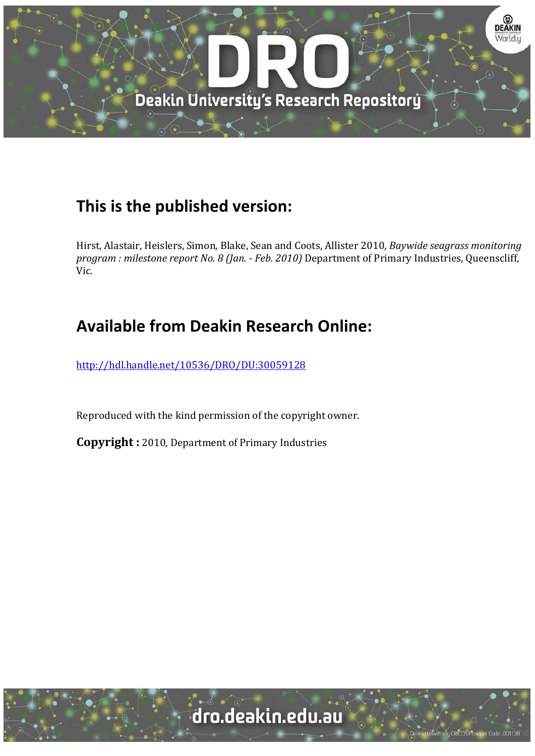

### **This is the published version:**

Hirst, Alastair, Heislers, Simon, Blake, Sean and Coots, Allister 2010*, Baywide seagrass monitoring program : milestone report No. 8 (Jan. ‐ Feb. 2010)* Department of Primary Industries, Queenscliff, Vic. 

## **Available from Deakin Research Online:**

http://hdl.handle.net/10536/DRO/DU:30059128

Reproduced with the kind permission of the copyright owner.

**Copyright** : 2010, Department of Primary Industries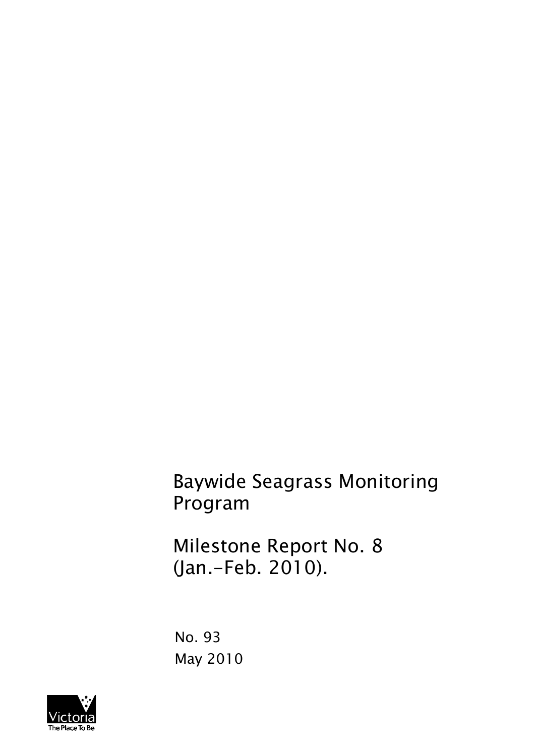Baywide Seagrass Monitoring Program

Milestone Report No. 8 (Jan.-Feb. 2010).

No. 93 May 2010

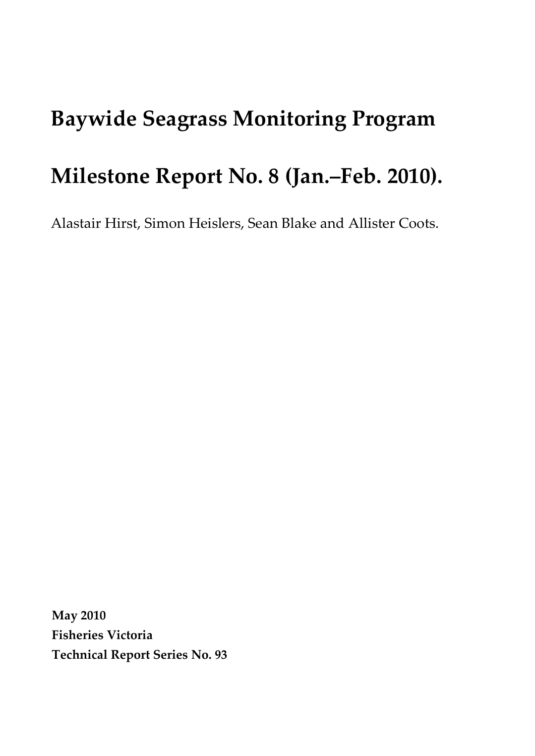# Baywide Seagrass Monitoring Program

## Milestone Report No. 8 (Jan.–Feb. 2010).

Alastair Hirst, Simon Heislers, Sean Blake and Allister Coots.

May 2010 Fisheries Victoria Technical Report Series No. 93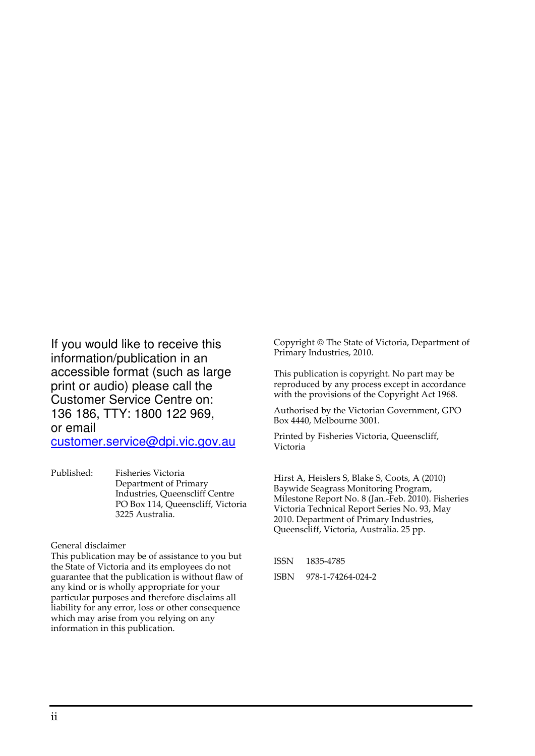If you would like to receive this information/publication in an accessible format (such as large print or audio) please call the Customer Service Centre on: 136 186, TTY: 1800 122 969, or email

customer.service@dpi.vic.gov.au

Published: Fisheries Victoria Department of Primary Industries, Queenscliff Centre PO Box 114, Queenscliff, Victoria 3225 Australia.

General disclaimer

This publication may be of assistance to you but the State of Victoria and its employees do not guarantee that the publication is without flaw of any kind or is wholly appropriate for your particular purposes and therefore disclaims all liability for any error, loss or other consequence which may arise from you relying on any information in this publication.

Copyright © The State of Victoria, Department of Primary Industries, 2010.

This publication is copyright. No part may be reproduced by any process except in accordance with the provisions of the Copyright Act 1968.

Authorised by the Victorian Government, GPO Box 4440, Melbourne 3001.

Printed by Fisheries Victoria, Queenscliff, Victoria

Hirst A, Heislers S, Blake S, Coots, A (2010) Baywide Seagrass Monitoring Program, Milestone Report No. 8 (Jan.-Feb. 2010). Fisheries Victoria Technical Report Series No. 93, May 2010. Department of Primary Industries, Queenscliff, Victoria, Australia. 25 pp.

| <b>ISSN</b> | 1835-4785         |
|-------------|-------------------|
| <b>ISBN</b> | 978-1-74264-024-2 |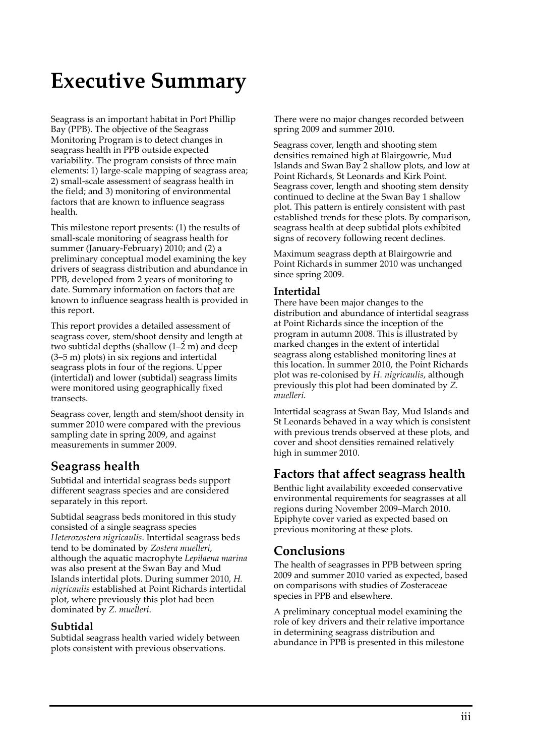# Executive Summary

Seagrass is an important habitat in Port Phillip Bay (PPB). The objective of the Seagrass Monitoring Program is to detect changes in seagrass health in PPB outside expected variability. The program consists of three main elements: 1) large-scale mapping of seagrass area; 2) small-scale assessment of seagrass health in the field; and 3) monitoring of environmental factors that are known to influence seagrass health.

This milestone report presents: (1) the results of small-scale monitoring of seagrass health for summer (January-February) 2010; and (2) a preliminary conceptual model examining the key drivers of seagrass distribution and abundance in PPB, developed from 2 years of monitoring to date. Summary information on factors that are known to influence seagrass health is provided in this report.

This report provides a detailed assessment of seagrass cover, stem/shoot density and length at two subtidal depths (shallow (1–2 m) and deep (3–5 m) plots) in six regions and intertidal seagrass plots in four of the regions. Upper (intertidal) and lower (subtidal) seagrass limits were monitored using geographically fixed transects.

Seagrass cover, length and stem/shoot density in summer 2010 were compared with the previous sampling date in spring 2009, and against measurements in summer 2009.

### Seagrass health

Subtidal and intertidal seagrass beds support different seagrass species and are considered separately in this report.

Subtidal seagrass beds monitored in this study consisted of a single seagrass species Heterozostera nigricaulis. Intertidal seagrass beds tend to be dominated by Zostera muelleri, although the aquatic macrophyte Lepilaena marina was also present at the Swan Bay and Mud Islands intertidal plots. During summer 2010, H. nigricaulis established at Point Richards intertidal plot, where previously this plot had been dominated by Z. muelleri.

#### Subtidal

Subtidal seagrass health varied widely between plots consistent with previous observations.

There were no major changes recorded between spring 2009 and summer 2010.

Seagrass cover, length and shooting stem densities remained high at Blairgowrie, Mud Islands and Swan Bay 2 shallow plots, and low at Point Richards, St Leonards and Kirk Point. Seagrass cover, length and shooting stem density continued to decline at the Swan Bay 1 shallow plot. This pattern is entirely consistent with past established trends for these plots. By comparison, seagrass health at deep subtidal plots exhibited signs of recovery following recent declines.

Maximum seagrass depth at Blairgowrie and Point Richards in summer 2010 was unchanged since spring 2009.

#### Intertidal

There have been major changes to the distribution and abundance of intertidal seagrass at Point Richards since the inception of the program in autumn 2008. This is illustrated by marked changes in the extent of intertidal seagrass along established monitoring lines at this location. In summer 2010, the Point Richards plot was re-colonised by H. nigricaulis, although previously this plot had been dominated by Z. muelleri.

Intertidal seagrass at Swan Bay, Mud Islands and St Leonards behaved in a way which is consistent with previous trends observed at these plots, and cover and shoot densities remained relatively high in summer 2010.

### Factors that affect seagrass health

Benthic light availability exceeded conservative environmental requirements for seagrasses at all regions during November 2009–March 2010. Epiphyte cover varied as expected based on previous monitoring at these plots.

### Conclusions

The health of seagrasses in PPB between spring 2009 and summer 2010 varied as expected, based on comparisons with studies of Zosteraceae species in PPB and elsewhere.

A preliminary conceptual model examining the role of key drivers and their relative importance in determining seagrass distribution and abundance in PPB is presented in this milestone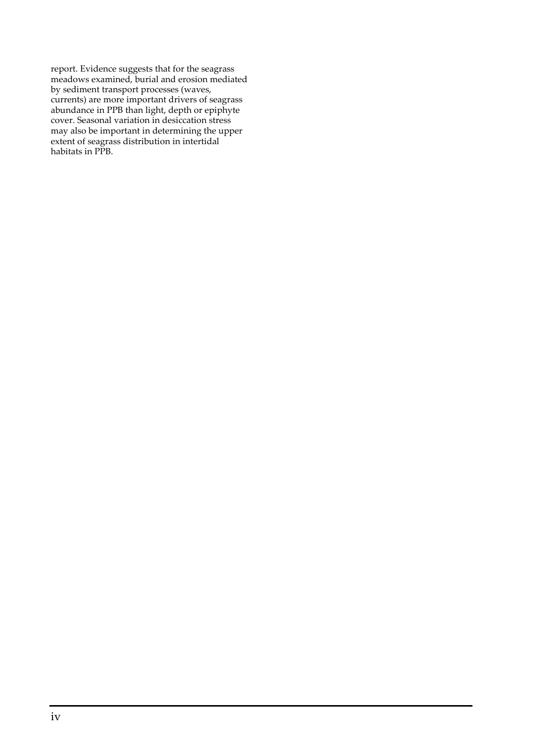report. Evidence suggests that for the seagrass meadows examined, burial and erosion mediated by sediment transport processes (waves, currents) are more important drivers of seagrass abundance in PPB than light, depth or epiphyte cover. Seasonal variation in desiccation stress may also be important in determining the upper extent of seagrass distribution in intertidal habitats in PPB.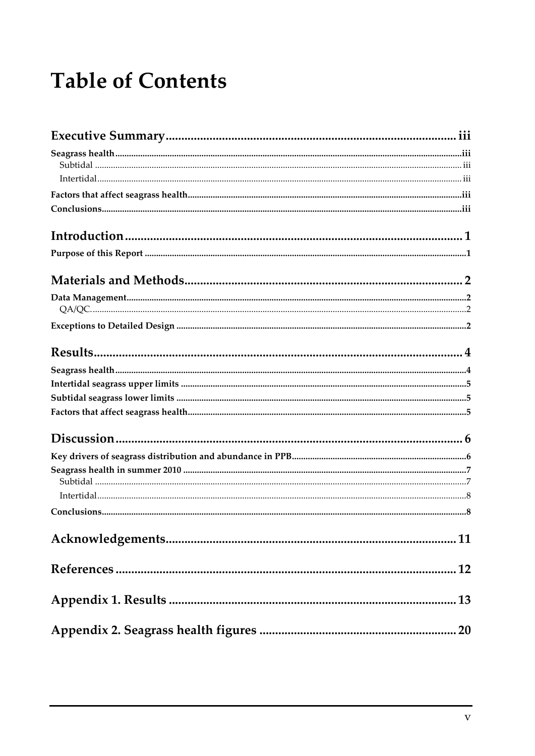# **Table of Contents**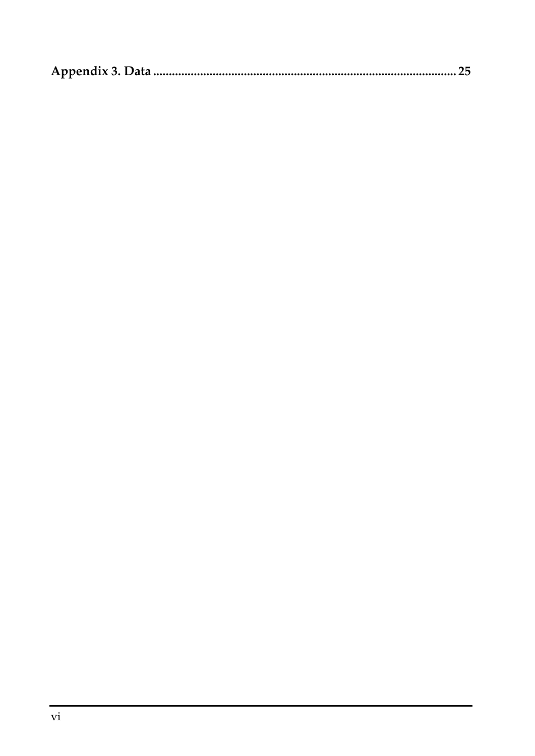|--|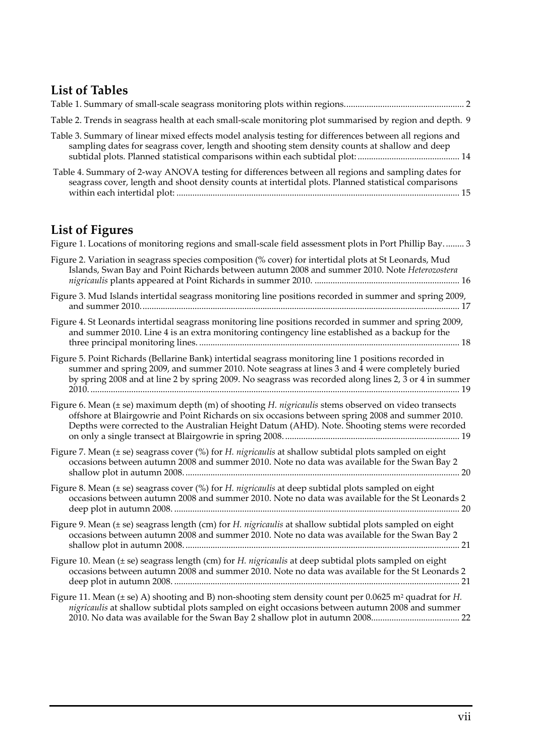### List of Tables

| Table 2. Trends in seagrass health at each small-scale monitoring plot summarised by region and depth. 9                                                                                                   |  |
|------------------------------------------------------------------------------------------------------------------------------------------------------------------------------------------------------------|--|
| Table 3. Summary of linear mixed effects model analysis testing for differences between all regions and<br>sampling dates for seagrass cover, length and shooting stem density counts at shallow and deep  |  |
| Table 4. Summary of 2-way ANOVA testing for differences between all regions and sampling dates for<br>seagrass cover, length and shoot density counts at intertidal plots. Planned statistical comparisons |  |

### List of Figures

| Figure 1. Locations of monitoring regions and small-scale field assessment plots in Port Phillip Bay 3                                                                                                                                                                                                           |
|------------------------------------------------------------------------------------------------------------------------------------------------------------------------------------------------------------------------------------------------------------------------------------------------------------------|
| Figure 2. Variation in seagrass species composition (% cover) for intertidal plots at St Leonards, Mud<br>Islands, Swan Bay and Point Richards between autumn 2008 and summer 2010. Note Heterozostera                                                                                                           |
| Figure 3. Mud Islands intertidal seagrass monitoring line positions recorded in summer and spring 2009,                                                                                                                                                                                                          |
| Figure 4. St Leonards intertidal seagrass monitoring line positions recorded in summer and spring 2009,<br>and summer 2010. Line 4 is an extra monitoring contingency line established as a backup for the                                                                                                       |
| Figure 5. Point Richards (Bellarine Bank) intertidal seagrass monitoring line 1 positions recorded in<br>summer and spring 2009, and summer 2010. Note seagrass at lines 3 and 4 were completely buried<br>by spring 2008 and at line 2 by spring 2009. No seagrass was recorded along lines 2, 3 or 4 in summer |
| Figure 6. Mean (± se) maximum depth (m) of shooting H. nigricaulis stems observed on video transects<br>offshore at Blairgowrie and Point Richards on six occasions between spring 2008 and summer 2010.<br>Depths were corrected to the Australian Height Datum (AHD). Note. Shooting stems were recorded       |
| Figure 7. Mean $(\pm s$ e) seagrass cover $\frac{1}{2}$ for <i>H. nigricaulis</i> at shallow subtidal plots sampled on eight<br>occasions between autumn 2008 and summer 2010. Note no data was available for the Swan Bay 2                                                                                     |
| Figure 8. Mean (± se) seagrass cover (%) for H. nigricaulis at deep subtidal plots sampled on eight<br>occasions between autumn 2008 and summer 2010. Note no data was available for the St Leonards 2                                                                                                           |
| Figure 9. Mean (± se) seagrass length (cm) for H. nigricaulis at shallow subtidal plots sampled on eight<br>occasions between autumn 2008 and summer 2010. Note no data was available for the Swan Bay 2                                                                                                         |
| Figure 10. Mean (± se) seagrass length (cm) for H. nigricaulis at deep subtidal plots sampled on eight<br>occasions between autumn 2008 and summer 2010. Note no data was available for the St Leonards 2                                                                                                        |
| Figure 11. Mean ( $\pm$ se) A) shooting and B) non-shooting stem density count per 0.0625 m <sup>2</sup> quadrat for H.<br>nigricaulis at shallow subtidal plots sampled on eight occasions between autumn 2008 and summer                                                                                       |
|                                                                                                                                                                                                                                                                                                                  |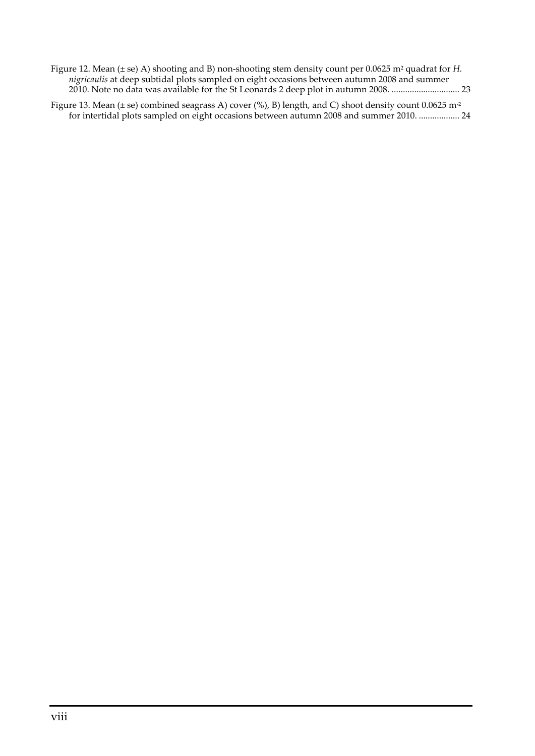| Figure 12. Mean ( $\pm$ se) A) shooting and B) non-shooting stem density count per 0.0625 m <sup>2</sup> quadrat for H. |
|-------------------------------------------------------------------------------------------------------------------------|
| <i>nigricaulis</i> at deep subtidal plots sampled on eight occasions between autumn 2008 and summer                     |
|                                                                                                                         |
| Figure 13. Mean ( $\pm$ se) combined seagrass A) cover (%), B) length, and C) shoot density count 0.0625 m <sup>2</sup> |

for intertidal plots sampled on eight occasions between autumn 2008 and summer 2010. .................. 24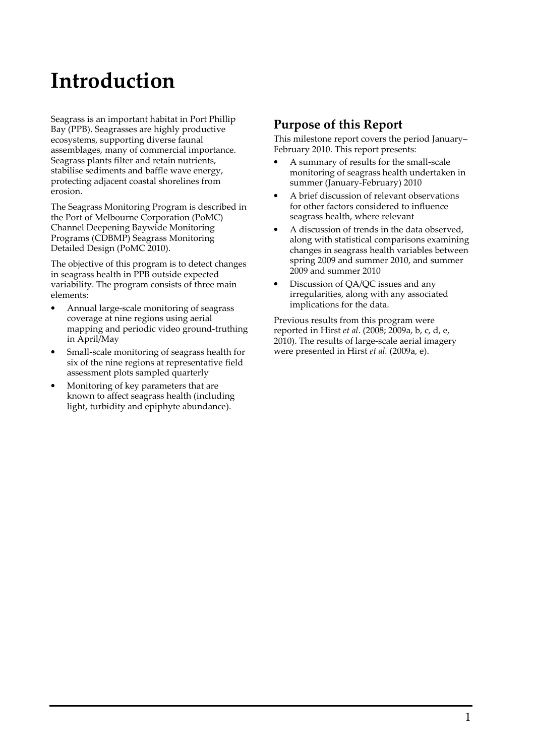# Introduction

Seagrass is an important habitat in Port Phillip Bay (PPB). Seagrasses are highly productive ecosystems, supporting diverse faunal assemblages, many of commercial importance. Seagrass plants filter and retain nutrients, stabilise sediments and baffle wave energy, protecting adjacent coastal shorelines from erosion.

The Seagrass Monitoring Program is described in the Port of Melbourne Corporation (PoMC) Channel Deepening Baywide Monitoring Programs (CDBMP) Seagrass Monitoring Detailed Design (PoMC 2010).

The objective of this program is to detect changes in seagrass health in PPB outside expected variability. The program consists of three main elements:

- Annual large-scale monitoring of seagrass coverage at nine regions using aerial mapping and periodic video ground-truthing in April/May
- Small-scale monitoring of seagrass health for six of the nine regions at representative field assessment plots sampled quarterly
- Monitoring of key parameters that are known to affect seagrass health (including light, turbidity and epiphyte abundance).

### Purpose of this Report

This milestone report covers the period January– February 2010. This report presents:

- A summary of results for the small-scale monitoring of seagrass health undertaken in summer (January-February) 2010
- A brief discussion of relevant observations for other factors considered to influence seagrass health, where relevant
- A discussion of trends in the data observed, along with statistical comparisons examining changes in seagrass health variables between spring 2009 and summer 2010, and summer 2009 and summer 2010
- Discussion of QA/QC issues and any irregularities, along with any associated implications for the data.

Previous results from this program were reported in Hirst et al. (2008; 2009a, b, c, d, e, 2010). The results of large-scale aerial imagery were presented in Hirst et al. (2009a, e).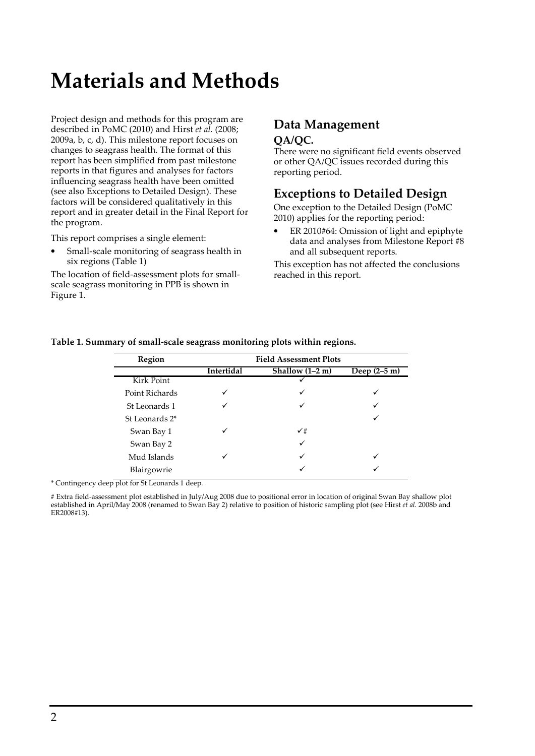# Materials and Methods

Project design and methods for this program are described in PoMC (2010) and Hirst et al. (2008; 2009a, b, c, d). This milestone report focuses on changes to seagrass health. The format of this report has been simplified from past milestone reports in that figures and analyses for factors influencing seagrass health have been omitted (see also Exceptions to Detailed Design). These factors will be considered qualitatively in this report and in greater detail in the Final Report for the program.

This report comprises a single element:

• Small-scale monitoring of seagrass health in six regions (Table 1)

The location of field-assessment plots for smallscale seagrass monitoring in PPB is shown in Figure 1.

## Data Management

#### QA/QC.

There were no significant field events observed or other QA/QC issues recorded during this reporting period.

### Exceptions to Detailed Design

One exception to the Detailed Design (PoMC 2010) applies for the reporting period:

• ER 2010#64: Omission of light and epiphyte data and analyses from Milestone Report #8 and all subsequent reports.

This exception has not affected the conclusions reached in this report.

| Region         | <b>Field Assessment Plots</b> |                 |                        |  |  |
|----------------|-------------------------------|-----------------|------------------------|--|--|
|                | Intertidal                    | Shallow (1-2 m) | Deep $(2-5 \text{ m})$ |  |  |
| Kirk Point     |                               |                 |                        |  |  |
| Point Richards |                               |                 |                        |  |  |
| St Leonards 1  |                               |                 |                        |  |  |
| St Leonards 2* |                               |                 |                        |  |  |
| Swan Bay 1     |                               | $\checkmark$ #  |                        |  |  |
| Swan Bay 2     |                               |                 |                        |  |  |
| Mud Islands    |                               |                 |                        |  |  |
| Blairgowrie    |                               |                 |                        |  |  |

#### Table 1. Summary of small-scale seagrass monitoring plots within regions.

\* Contingency deep plot for St Leonards 1 deep.

# Extra field-assessment plot established in July/Aug 2008 due to positional error in location of original Swan Bay shallow plot established in April/May 2008 (renamed to Swan Bay 2) relative to position of historic sampling plot (see Hirst et al. 2008b and ER2008#13).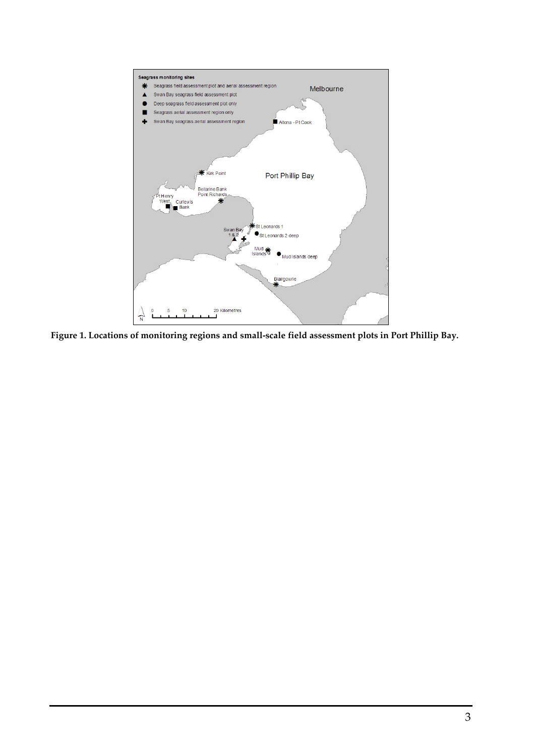

Figure 1. Locations of monitoring regions and small-scale field assessment plots in Port Phillip Bay.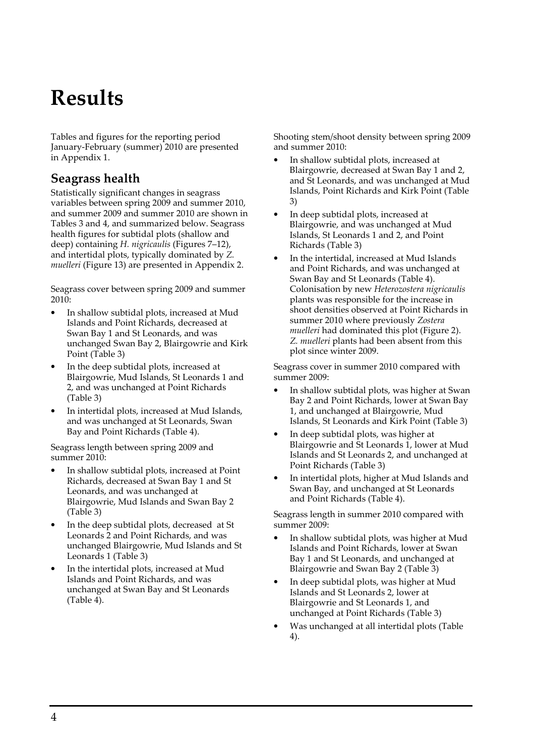# Results

Tables and figures for the reporting period January-February (summer) 2010 are presented in Appendix 1.

### Seagrass health

Statistically significant changes in seagrass variables between spring 2009 and summer 2010, and summer 2009 and summer 2010 are shown in Tables 3 and 4, and summarized below. Seagrass health figures for subtidal plots (shallow and deep) containing H. nigricaulis (Figures 7–12), and intertidal plots, typically dominated by Z. muelleri (Figure 13) are presented in Appendix 2.

Seagrass cover between spring 2009 and summer 2010:

- In shallow subtidal plots, increased at Mud Islands and Point Richards, decreased at Swan Bay 1 and St Leonards, and was unchanged Swan Bay 2, Blairgowrie and Kirk Point (Table 3)
- In the deep subtidal plots, increased at Blairgowrie, Mud Islands, St Leonards 1 and 2, and was unchanged at Point Richards (Table 3)
- In intertidal plots, increased at Mud Islands, and was unchanged at St Leonards, Swan Bay and Point Richards (Table 4).

Seagrass length between spring 2009 and summer 2010:

- In shallow subtidal plots, increased at Point Richards, decreased at Swan Bay 1 and St Leonards, and was unchanged at Blairgowrie, Mud Islands and Swan Bay 2 (Table 3)
- In the deep subtidal plots, decreased at St Leonards 2 and Point Richards, and was unchanged Blairgowrie, Mud Islands and St Leonards 1 (Table 3)
- In the intertidal plots, increased at Mud Islands and Point Richards, and was unchanged at Swan Bay and St Leonards (Table 4).

Shooting stem/shoot density between spring 2009 and summer 2010:

- In shallow subtidal plots, increased at Blairgowrie, decreased at Swan Bay 1 and 2, and St Leonards, and was unchanged at Mud Islands, Point Richards and Kirk Point (Table 3)
- In deep subtidal plots, increased at Blairgowrie, and was unchanged at Mud Islands, St Leonards 1 and 2, and Point Richards (Table 3)
- In the intertidal, increased at Mud Islands and Point Richards, and was unchanged at Swan Bay and St Leonards (Table 4). Colonisation by new Heterozostera nigricaulis plants was responsible for the increase in shoot densities observed at Point Richards in summer 2010 where previously Zostera muelleri had dominated this plot (Figure 2). Z. muelleri plants had been absent from this plot since winter 2009.

Seagrass cover in summer 2010 compared with summer 2009:

- In shallow subtidal plots, was higher at Swan Bay 2 and Point Richards, lower at Swan Bay 1, and unchanged at Blairgowrie, Mud Islands, St Leonards and Kirk Point (Table 3)
- In deep subtidal plots, was higher at Blairgowrie and St Leonards 1, lower at Mud Islands and St Leonards 2, and unchanged at Point Richards (Table 3)
- In intertidal plots, higher at Mud Islands and Swan Bay, and unchanged at St Leonards and Point Richards (Table 4).

Seagrass length in summer 2010 compared with summer 2009:

- In shallow subtidal plots, was higher at Mud Islands and Point Richards, lower at Swan Bay 1 and St Leonards, and unchanged at Blairgowrie and Swan Bay 2 (Table 3)
- In deep subtidal plots, was higher at Mud Islands and St Leonards 2, lower at Blairgowrie and St Leonards 1, and unchanged at Point Richards (Table 3)
- Was unchanged at all intertidal plots (Table 4).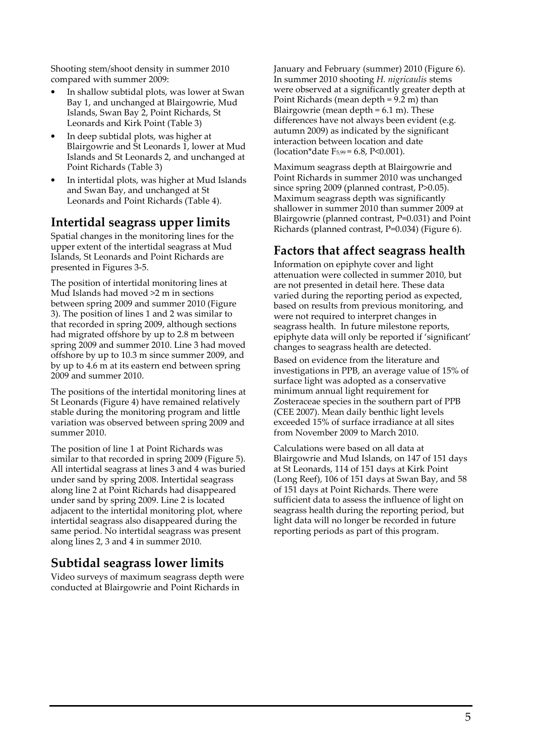Shooting stem/shoot density in summer 2010 compared with summer 2009:

- In shallow subtidal plots, was lower at Swan Bay 1, and unchanged at Blairgowrie, Mud Islands, Swan Bay 2, Point Richards, St Leonards and Kirk Point (Table 3)
- In deep subtidal plots, was higher at Blairgowrie and St Leonards 1, lower at Mud Islands and St Leonards 2, and unchanged at Point Richards (Table 3)
- In intertidal plots, was higher at Mud Islands and Swan Bay, and unchanged at St Leonards and Point Richards (Table 4).

#### Intertidal seagrass upper limits

Spatial changes in the monitoring lines for the upper extent of the intertidal seagrass at Mud Islands, St Leonards and Point Richards are presented in Figures 3-5.

The position of intertidal monitoring lines at Mud Islands had moved >2 m in sections between spring 2009 and summer 2010 (Figure 3). The position of lines 1 and 2 was similar to that recorded in spring 2009, although sections had migrated offshore by up to 2.8 m between spring 2009 and summer 2010. Line 3 had moved offshore by up to 10.3 m since summer 2009, and by up to 4.6 m at its eastern end between spring 2009 and summer 2010.

The positions of the intertidal monitoring lines at St Leonards (Figure 4) have remained relatively stable during the monitoring program and little variation was observed between spring 2009 and summer 2010.

The position of line 1 at Point Richards was similar to that recorded in spring 2009 (Figure 5). All intertidal seagrass at lines 3 and 4 was buried under sand by spring 2008. Intertidal seagrass along line 2 at Point Richards had disappeared under sand by spring 2009. Line 2 is located adjacent to the intertidal monitoring plot, where intertidal seagrass also disappeared during the same period. No intertidal seagrass was present along lines 2, 3 and 4 in summer 2010.

### Subtidal seagrass lower limits

Video surveys of maximum seagrass depth were conducted at Blairgowrie and Point Richards in

January and February (summer) 2010 (Figure 6). In summer 2010 shooting H. nigricaulis stems were observed at a significantly greater depth at Point Richards (mean depth = 9.2 m) than Blairgowrie (mean depth  $= 6.1$  m). These differences have not always been evident (e.g. autumn 2009) as indicated by the significant interaction between location and date  $(location*date F<sub>5.99</sub>=6.8, P<0.001).$ 

Maximum seagrass depth at Blairgowrie and Point Richards in summer 2010 was unchanged since spring 2009 (planned contrast, P>0.05). Maximum seagrass depth was significantly shallower in summer 2010 than summer 2009 at Blairgowrie (planned contrast, P=0.031) and Point Richards (planned contrast, P=0.034) (Figure 6).

### Factors that affect seagrass health

Information on epiphyte cover and light attenuation were collected in summer 2010, but are not presented in detail here. These data varied during the reporting period as expected, based on results from previous monitoring, and were not required to interpret changes in seagrass health. In future milestone reports, epiphyte data will only be reported if 'significant' changes to seagrass health are detected.

Based on evidence from the literature and investigations in PPB, an average value of 15% of surface light was adopted as a conservative minimum annual light requirement for Zosteraceae species in the southern part of PPB (CEE 2007). Mean daily benthic light levels exceeded 15% of surface irradiance at all sites from November 2009 to March 2010.

Calculations were based on all data at Blairgowrie and Mud Islands, on 147 of 151 days at St Leonards, 114 of 151 days at Kirk Point (Long Reef), 106 of 151 days at Swan Bay, and 58 of 151 days at Point Richards. There were sufficient data to assess the influence of light on seagrass health during the reporting period, but light data will no longer be recorded in future reporting periods as part of this program.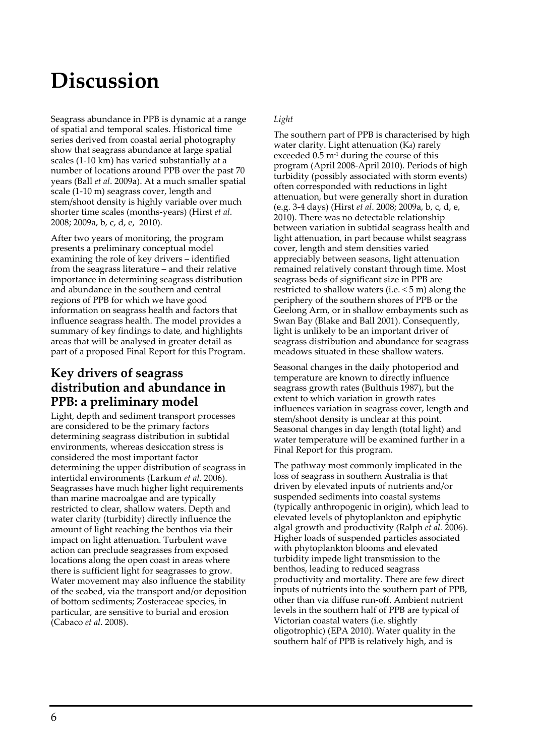# Discussion

Seagrass abundance in PPB is dynamic at a range of spatial and temporal scales. Historical time series derived from coastal aerial photography show that seagrass abundance at large spatial scales (1-10 km) has varied substantially at a number of locations around PPB over the past 70 years (Ball et al. 2009a). At a much smaller spatial scale (1-10 m) seagrass cover, length and stem/shoot density is highly variable over much shorter time scales (months-years) (Hirst et al. 2008; 2009a, b, c, d, e, 2010).

After two years of monitoring, the program presents a preliminary conceptual model examining the role of key drivers – identified from the seagrass literature – and their relative importance in determining seagrass distribution and abundance in the southern and central regions of PPB for which we have good information on seagrass health and factors that influence seagrass health. The model provides a summary of key findings to date, and highlights areas that will be analysed in greater detail as part of a proposed Final Report for this Program.

### Key drivers of seagrass distribution and abundance in PPB: a preliminary model

Light, depth and sediment transport processes are considered to be the primary factors determining seagrass distribution in subtidal environments, whereas desiccation stress is considered the most important factor determining the upper distribution of seagrass in intertidal environments (Larkum et al. 2006). Seagrasses have much higher light requirements than marine macroalgae and are typically restricted to clear, shallow waters. Depth and water clarity (turbidity) directly influence the amount of light reaching the benthos via their impact on light attenuation. Turbulent wave action can preclude seagrasses from exposed locations along the open coast in areas where there is sufficient light for seagrasses to grow. Water movement may also influence the stability of the seabed, via the transport and/or deposition of bottom sediments; Zosteraceae species, in particular, are sensitive to burial and erosion (Cabaco et al. 2008).

#### Light

The southern part of PPB is characterised by high water clarity. Light attenuation  $(K_d)$  rarely exceeded  $0.5 \text{ m}$ <sup>1</sup> during the course of this program (April 2008-April 2010). Periods of high turbidity (possibly associated with storm events) often corresponded with reductions in light attenuation, but were generally short in duration (e.g. 3-4 days) (Hirst et al. 2008; 2009a, b, c, d, e, 2010). There was no detectable relationship between variation in subtidal seagrass health and light attenuation, in part because whilst seagrass cover, length and stem densities varied appreciably between seasons, light attenuation remained relatively constant through time. Most seagrass beds of significant size in PPB are restricted to shallow waters (i.e. < 5 m) along the periphery of the southern shores of PPB or the Geelong Arm, or in shallow embayments such as Swan Bay (Blake and Ball 2001). Consequently, light is unlikely to be an important driver of seagrass distribution and abundance for seagrass meadows situated in these shallow waters.

Seasonal changes in the daily photoperiod and temperature are known to directly influence seagrass growth rates (Bulthuis 1987), but the extent to which variation in growth rates influences variation in seagrass cover, length and stem/shoot density is unclear at this point. Seasonal changes in day length (total light) and water temperature will be examined further in a Final Report for this program.

The pathway most commonly implicated in the loss of seagrass in southern Australia is that driven by elevated inputs of nutrients and/or suspended sediments into coastal systems (typically anthropogenic in origin), which lead to elevated levels of phytoplankton and epiphytic algal growth and productivity (Ralph et al. 2006). Higher loads of suspended particles associated with phytoplankton blooms and elevated turbidity impede light transmission to the benthos, leading to reduced seagrass productivity and mortality. There are few direct inputs of nutrients into the southern part of PPB, other than via diffuse run-off. Ambient nutrient levels in the southern half of PPB are typical of Victorian coastal waters (i.e. slightly oligotrophic) (EPA 2010). Water quality in the southern half of PPB is relatively high, and is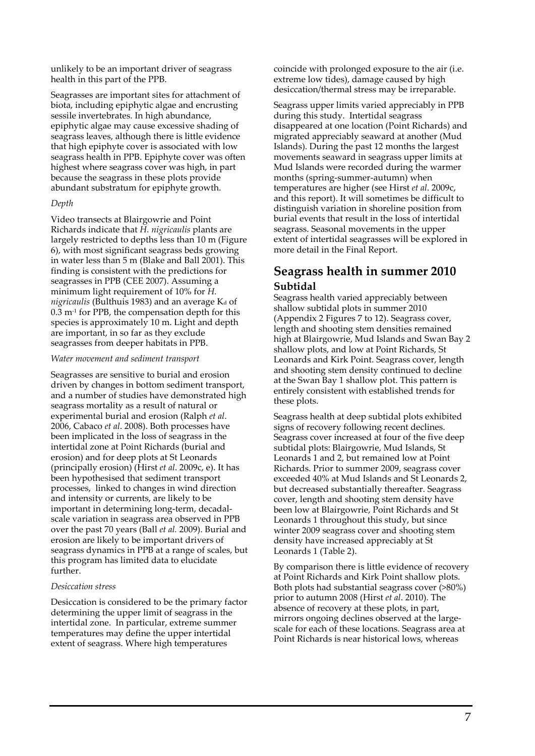unlikely to be an important driver of seagrass health in this part of the PPB.

Seagrasses are important sites for attachment of biota, including epiphytic algae and encrusting sessile invertebrates. In high abundance, epiphytic algae may cause excessive shading of seagrass leaves, although there is little evidence that high epiphyte cover is associated with low seagrass health in PPB. Epiphyte cover was often highest where seagrass cover was high, in part because the seagrass in these plots provide abundant substratum for epiphyte growth.

#### Depth

Video transects at Blairgowrie and Point Richards indicate that H. nigricaulis plants are largely restricted to depths less than 10 m (Figure 6), with most significant seagrass beds growing in water less than 5 m (Blake and Ball 2001). This finding is consistent with the predictions for seagrasses in PPB (CEE 2007). Assuming a minimum light requirement of 10% for H. nigricaulis (Bulthuis 1983) and an average  $K_d$  of  $0.3 \text{ m}$ <sup>1</sup> for PPB, the compensation depth for this species is approximately 10 m. Light and depth are important, in so far as they exclude seagrasses from deeper habitats in PPB.

#### Water movement and sediment transport

Seagrasses are sensitive to burial and erosion driven by changes in bottom sediment transport, and a number of studies have demonstrated high seagrass mortality as a result of natural or experimental burial and erosion (Ralph et al. 2006, Cabaco et al. 2008). Both processes have been implicated in the loss of seagrass in the intertidal zone at Point Richards (burial and erosion) and for deep plots at St Leonards (principally erosion) (Hirst *et al.* 2009c, e). It has been hypothesised that sediment transport processes, linked to changes in wind direction and intensity or currents, are likely to be important in determining long-term, decadalscale variation in seagrass area observed in PPB over the past 70 years (Ball et al. 2009). Burial and erosion are likely to be important drivers of seagrass dynamics in PPB at a range of scales, but this program has limited data to elucidate further.

#### Desiccation stress

Desiccation is considered to be the primary factor determining the upper limit of seagrass in the intertidal zone. In particular, extreme summer temperatures may define the upper intertidal extent of seagrass. Where high temperatures

coincide with prolonged exposure to the air (i.e. extreme low tides), damage caused by high desiccation/thermal stress may be irreparable.

Seagrass upper limits varied appreciably in PPB during this study. Intertidal seagrass disappeared at one location (Point Richards) and migrated appreciably seaward at another (Mud Islands). During the past 12 months the largest movements seaward in seagrass upper limits at Mud Islands were recorded during the warmer months (spring-summer-autumn) when temperatures are higher (see Hirst et al. 2009c, and this report). It will sometimes be difficult to distinguish variation in shoreline position from burial events that result in the loss of intertidal seagrass. Seasonal movements in the upper extent of intertidal seagrasses will be explored in more detail in the Final Report.

### Seagrass health in summer 2010 Subtidal

Seagrass health varied appreciably between shallow subtidal plots in summer 2010 (Appendix 2 Figures 7 to 12). Seagrass cover, length and shooting stem densities remained high at Blairgowrie, Mud Islands and Swan Bay 2 shallow plots, and low at Point Richards, St Leonards and Kirk Point. Seagrass cover, length and shooting stem density continued to decline at the Swan Bay 1 shallow plot. This pattern is entirely consistent with established trends for these plots.

Seagrass health at deep subtidal plots exhibited signs of recovery following recent declines. Seagrass cover increased at four of the five deep subtidal plots: Blairgowrie, Mud Islands, St Leonards 1 and 2, but remained low at Point Richards. Prior to summer 2009, seagrass cover exceeded 40% at Mud Islands and St Leonards 2, but decreased substantially thereafter. Seagrass cover, length and shooting stem density have been low at Blairgowrie, Point Richards and St Leonards 1 throughout this study, but since winter 2009 seagrass cover and shooting stem density have increased appreciably at St Leonards 1 (Table 2).

By comparison there is little evidence of recovery at Point Richards and Kirk Point shallow plots. Both plots had substantial seagrass cover (>80%) prior to autumn 2008 (Hirst et al. 2010). The absence of recovery at these plots, in part, mirrors ongoing declines observed at the largescale for each of these locations. Seagrass area at Point Richards is near historical lows, whereas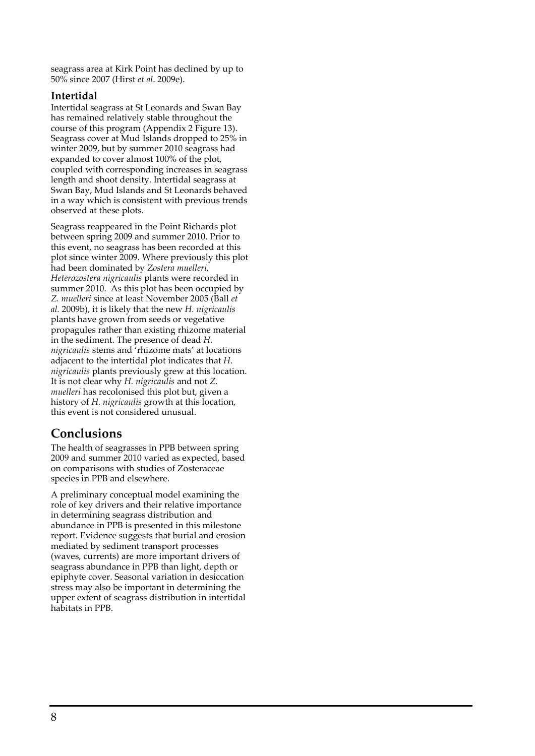seagrass area at Kirk Point has declined by up to 50% since 2007 (Hirst et al. 2009e).

#### Intertidal

Intertidal seagrass at St Leonards and Swan Bay has remained relatively stable throughout the course of this program (Appendix 2 Figure 13). Seagrass cover at Mud Islands dropped to 25% in winter 2009, but by summer 2010 seagrass had expanded to cover almost 100% of the plot, coupled with corresponding increases in seagrass length and shoot density. Intertidal seagrass at Swan Bay, Mud Islands and St Leonards behaved in a way which is consistent with previous trends observed at these plots.

Seagrass reappeared in the Point Richards plot between spring 2009 and summer 2010. Prior to this event, no seagrass has been recorded at this plot since winter 2009. Where previously this plot had been dominated by Zostera muelleri, Heterozostera nigricaulis plants were recorded in summer 2010. As this plot has been occupied by Z. muelleri since at least November 2005 (Ball et al. 2009b), it is likely that the new H. nigricaulis plants have grown from seeds or vegetative propagules rather than existing rhizome material in the sediment. The presence of dead H. nigricaulis stems and 'rhizome mats' at locations adjacent to the intertidal plot indicates that H. nigricaulis plants previously grew at this location. It is not clear why H. nigricaulis and not Z. muelleri has recolonised this plot but, given a history of H. nigricaulis growth at this location, this event is not considered unusual.

### Conclusions

The health of seagrasses in PPB between spring 2009 and summer 2010 varied as expected, based on comparisons with studies of Zosteraceae species in PPB and elsewhere.

A preliminary conceptual model examining the role of key drivers and their relative importance in determining seagrass distribution and abundance in PPB is presented in this milestone report. Evidence suggests that burial and erosion mediated by sediment transport processes (waves, currents) are more important drivers of seagrass abundance in PPB than light, depth or epiphyte cover. Seasonal variation in desiccation stress may also be important in determining the upper extent of seagrass distribution in intertidal habitats in PPB.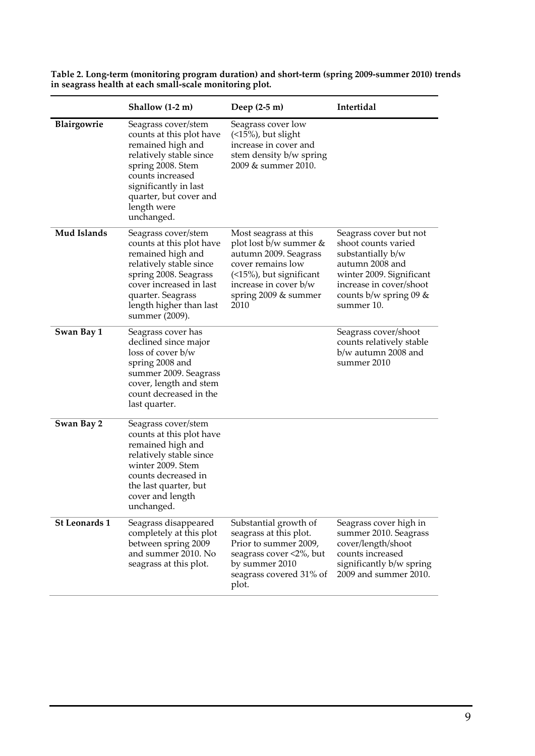|                      | Shallow (1-2 m)                                                                                                                                                                                                          | Deep $(2-5 m)$                                                                                                                                                                    | Intertidal                                                                                                                                                                                |
|----------------------|--------------------------------------------------------------------------------------------------------------------------------------------------------------------------------------------------------------------------|-----------------------------------------------------------------------------------------------------------------------------------------------------------------------------------|-------------------------------------------------------------------------------------------------------------------------------------------------------------------------------------------|
| Blairgowrie          | Seagrass cover/stem<br>counts at this plot have<br>remained high and<br>relatively stable since<br>spring 2008. Stem<br>counts increased<br>significantly in last<br>quarter, but cover and<br>length were<br>unchanged. | Seagrass cover low<br>$(5\%)$ , but slight<br>increase in cover and<br>stem density b/w spring<br>2009 & summer 2010.                                                             |                                                                                                                                                                                           |
| <b>Mud Islands</b>   | Seagrass cover/stem<br>counts at this plot have<br>remained high and<br>relatively stable since<br>spring 2008. Seagrass<br>cover increased in last<br>quarter. Seagrass<br>length higher than last<br>summer (2009).    | Most seagrass at this<br>plot lost b/w summer &<br>autumn 2009. Seagrass<br>cover remains low<br>(<15%), but significant<br>increase in cover b/w<br>spring 2009 & summer<br>2010 | Seagrass cover but not<br>shoot counts varied<br>substantially b/w<br>autumn 2008 and<br>winter 2009. Significant<br>increase in cover/shoot<br>counts $b/w$ spring 09 $\&$<br>summer 10. |
| Swan Bay 1           | Seagrass cover has<br>declined since major<br>loss of cover b/w<br>spring 2008 and<br>summer 2009. Seagrass<br>cover, length and stem<br>count decreased in the<br>last quarter.                                         |                                                                                                                                                                                   | Seagrass cover/shoot<br>counts relatively stable<br>b/w autumn 2008 and<br>summer 2010                                                                                                    |
| Swan Bay 2           | Seagrass cover/stem<br>counts at this plot have<br>remained high and<br>relatively stable since<br>winter 2009. Stem<br>counts decreased in<br>the last quarter, but<br>cover and length<br>unchanged.                   |                                                                                                                                                                                   |                                                                                                                                                                                           |
| <b>St Leonards 1</b> | Seagrass disappeared<br>completely at this plot<br>between spring 2009<br>and summer 2010. No<br>seagrass at this plot.                                                                                                  | Substantial growth of<br>seagrass at this plot.<br>Prior to summer 2009,<br>seagrass cover <2%, but<br>by summer 2010<br>seagrass covered 31% of<br>plot.                         | Seagrass cover high in<br>summer 2010. Seagrass<br>cover/length/shoot<br>counts increased<br>significantly b/w spring<br>2009 and summer 2010.                                            |

Table 2. Long-term (monitoring program duration) and short-term (spring 2009-summer 2010) trends in seagrass health at each small-scale monitoring plot.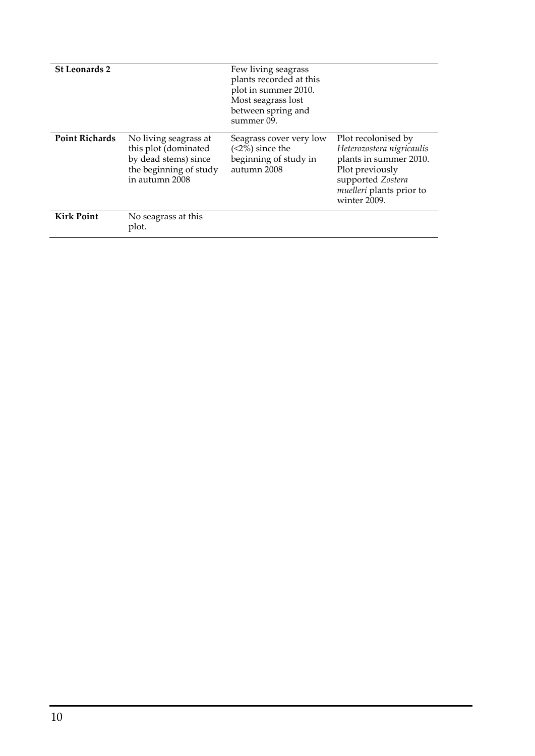| <b>St Leonards 2</b>  |                                                                                                                   | Few living seagrass<br>plants recorded at this<br>plot in summer 2010.<br>Most seagrass lost<br>between spring and<br>summer 09. |                                                                                                                                                                       |
|-----------------------|-------------------------------------------------------------------------------------------------------------------|----------------------------------------------------------------------------------------------------------------------------------|-----------------------------------------------------------------------------------------------------------------------------------------------------------------------|
| <b>Point Richards</b> | No living seagrass at<br>this plot (dominated<br>by dead stems) since<br>the beginning of study<br>in autumn 2008 | Seagrass cover very low<br>$(2\%)$ since the<br>beginning of study in<br>autumn 2008                                             | Plot recolonised by<br>Heterozostera nigricaulis<br>plants in summer 2010.<br>Plot previously<br>supported Zostera<br><i>muelleri</i> plants prior to<br>winter 2009. |
| <b>Kirk Point</b>     | No seagrass at this<br>plot.                                                                                      |                                                                                                                                  |                                                                                                                                                                       |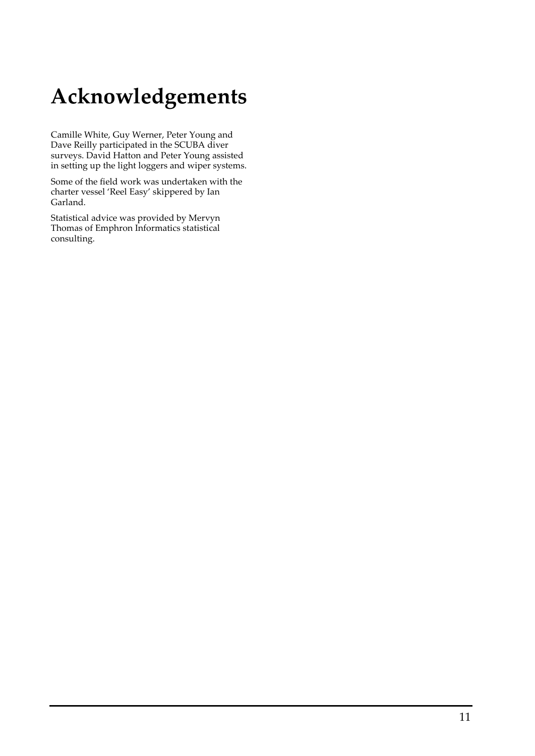# Acknowledgements

Camille White, Guy Werner, Peter Young and Dave Reilly participated in the SCUBA diver surveys. David Hatton and Peter Young assisted in setting up the light loggers and wiper systems.

Some of the field work was undertaken with the charter vessel 'Reel Easy' skippered by Ian Garland.

Statistical advice was provided by Mervyn Thomas of Emphron Informatics statistical consulting.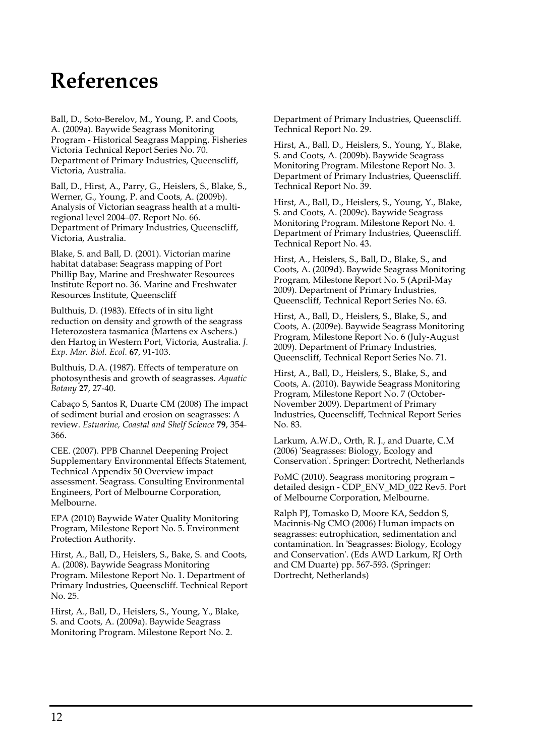## References

Ball, D., Soto-Berelov, M., Young, P. and Coots, A. (2009a). Baywide Seagrass Monitoring Program - Historical Seagrass Mapping. Fisheries Victoria Technical Report Series No. 70. Department of Primary Industries, Queenscliff, Victoria, Australia.

Ball, D., Hirst, A., Parry, G., Heislers, S., Blake, S., Werner, G., Young, P. and Coots, A. (2009b). Analysis of Victorian seagrass health at a multiregional level 2004–07. Report No. 66. Department of Primary Industries, Queenscliff, Victoria, Australia.

Blake, S. and Ball, D. (2001). Victorian marine habitat database: Seagrass mapping of Port Phillip Bay, Marine and Freshwater Resources Institute Report no. 36. Marine and Freshwater Resources Institute, Queenscliff

Bulthuis, D. (1983). Effects of in situ light reduction on density and growth of the seagrass Heterozostera tasmanica (Martens ex Aschers.) den Hartog in Western Port, Victoria, Australia. J. Exp. Mar. Biol. Ecol. 67, 91-103.

Bulthuis, D.A. (1987). Effects of temperature on photosynthesis and growth of seagrasses. Aquatic Botany 27, 27-40.

Cabaço S, Santos R, Duarte CM (2008) The impact of sediment burial and erosion on seagrasses: A review. Estuarine, Coastal and Shelf Science 79, 354- 366.

CEE. (2007). PPB Channel Deepening Project Supplementary Environmental Effects Statement, Technical Appendix 50 Overview impact assessment. Seagrass. Consulting Environmental Engineers, Port of Melbourne Corporation, Melbourne.

EPA (2010) Baywide Water Quality Monitoring Program, Milestone Report No. 5. Environment Protection Authority.

Hirst, A., Ball, D., Heislers, S., Bake, S. and Coots, A. (2008). Baywide Seagrass Monitoring Program. Milestone Report No. 1. Department of Primary Industries, Queenscliff. Technical Report No. 25.

Hirst, A., Ball, D., Heislers, S., Young, Y., Blake, S. and Coots, A. (2009a). Baywide Seagrass Monitoring Program. Milestone Report No. 2.

Department of Primary Industries, Queenscliff. Technical Report No. 29.

Hirst, A., Ball, D., Heislers, S., Young, Y., Blake, S. and Coots, A. (2009b). Baywide Seagrass Monitoring Program. Milestone Report No. 3. Department of Primary Industries, Queenscliff. Technical Report No. 39.

Hirst, A., Ball, D., Heislers, S., Young, Y., Blake, S. and Coots, A. (2009c). Baywide Seagrass Monitoring Program. Milestone Report No. 4. Department of Primary Industries, Queenscliff. Technical Report No. 43.

Hirst, A., Heislers, S., Ball, D., Blake, S., and Coots, A. (2009d). Baywide Seagrass Monitoring Program, Milestone Report No. 5 (April-May 2009). Department of Primary Industries, Queenscliff, Technical Report Series No. 63.

Hirst, A., Ball, D., Heislers, S., Blake, S., and Coots, A. (2009e). Baywide Seagrass Monitoring Program, Milestone Report No. 6 (July-August 2009). Department of Primary Industries, Queenscliff, Technical Report Series No. 71.

Hirst, A., Ball, D., Heislers, S., Blake, S., and Coots, A. (2010). Baywide Seagrass Monitoring Program, Milestone Report No. 7 (October-November 2009). Department of Primary Industries, Queenscliff, Technical Report Series No. 83.

Larkum, A.W.D., Orth, R. J., and Duarte, C.M (2006) 'Seagrasses: Biology, Ecology and Conservation'. Springer: Dortrecht, Netherlands

PoMC (2010). Seagrass monitoring program – detailed design - CDP\_ENV\_MD\_022 Rev5. Port of Melbourne Corporation, Melbourne.

Ralph PJ, Tomasko D, Moore KA, Seddon S, Macinnis-Ng CMO (2006) Human impacts on seagrasses: eutrophication, sedimentation and contamination. In 'Seagrasses: Biology, Ecology and Conservation'. (Eds AWD Larkum, RJ Orth and CM Duarte) pp. 567-593. (Springer: Dortrecht, Netherlands)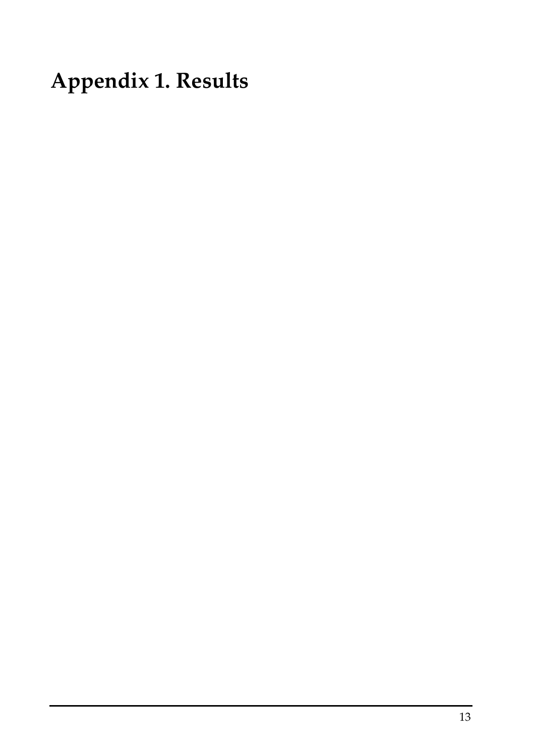Appendix 1. Results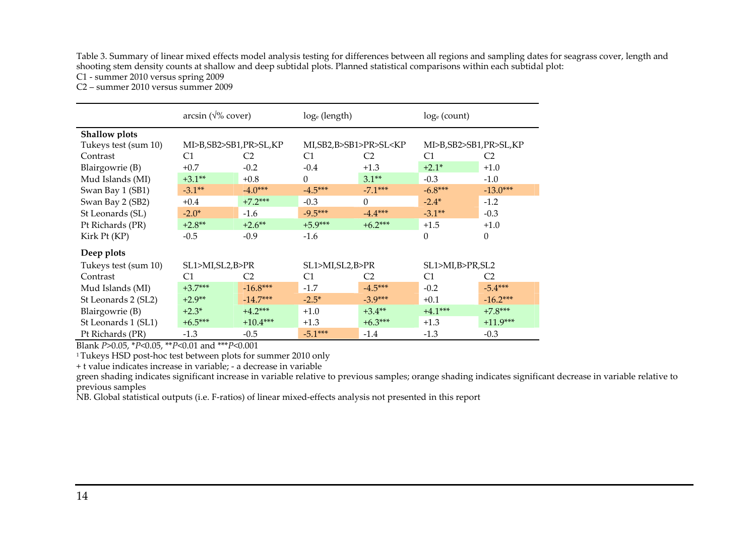Table 3. Summary of linear mixed effects model analysis testing for differences between all regions and sampling dates for seagrass cover, length and shooting stem density counts at shallow and deep subtidal plots. Planned statistical comparisons within each subtidal plot:

C1 - summer 2010 versus spring 2009

C2 – summer 2010 versus summer 2009

|                      | $arcsin (\sqrt{\%} \text{ cover})$ |                | loge (length)                                                                             |                | $log_e$ (count)       |                |
|----------------------|------------------------------------|----------------|-------------------------------------------------------------------------------------------|----------------|-----------------------|----------------|
| Shallow plots        |                                    |                |                                                                                           |                |                       |                |
| Tukeys test (sum 10) | MI>B,SB2>SB1,PR>SL,KP              |                | MI, SB2, B>SB1>PR>SL <kp< td=""><td colspan="2">MI&gt;B,SB2&gt;SB1,PR&gt;SL,KP</td></kp<> |                | MI>B,SB2>SB1,PR>SL,KP |                |
| Contrast             | C <sub>1</sub>                     | C <sub>2</sub> | C1                                                                                        | C <sub>2</sub> | C1                    | C <sub>2</sub> |
| Blairgowrie (B)      | $+0.7$                             | $-0.2$         | $-0.4$                                                                                    | $+1.3$         | $+2.1*$               | $+1.0$         |
| Mud Islands (MI)     | $+3.1**$                           | $+0.8$         | $\Omega$                                                                                  | $3.1**$        | $-0.3$                | $-1.0$         |
| Swan Bay 1 (SB1)     | $-3.1**$                           | $-4.0***$      | $-4.5***$                                                                                 | $-7.1***$      | $-6.8***$             | $-13.0***$     |
| Swan Bay 2 (SB2)     | $+0.4$                             | $+7.2***$      | $-0.3$                                                                                    | $\Omega$       | $-2.4*$               | $-1.2$         |
| St Leonards (SL)     | $-2.0*$                            | $-1.6$         | $-9.5***$                                                                                 | $-4.4***$      | $-3.1**$              | $-0.3$         |
| Pt Richards (PR)     | $+2.8**$                           | $+2.6$ **      | $+5.9***$                                                                                 | $+6.2***$      | $+1.5$                | $+1.0$         |
| Kirk Pt (KP)         | $-0.5$                             | $-0.9$         | $-1.6$                                                                                    |                | $\theta$              | $\Omega$       |
| Deep plots           |                                    |                |                                                                                           |                |                       |                |
| Tukeys test (sum 10) | SL1>MI,SL2,B>PR                    |                | SL1>MI,SL2,B>PR                                                                           |                | SL1>MI,B>PR,SL2       |                |
| Contrast             | C <sub>1</sub>                     | C <sub>2</sub> | C <sub>1</sub>                                                                            | C <sub>2</sub> | C1                    | C <sub>2</sub> |
| Mud Islands (MI)     | $+3.7***$                          | $-16.8***$     | $-1.7$                                                                                    | $-4.5***$      | $-0.2$                | $-5.4***$      |
| St Leonards 2 (SL2)  | $+2.9**$                           | $-14.7***$     | $-2.5*$                                                                                   | $-3.9***$      | $+0.1$                | $-16.2***$     |
| Blairgowrie (B)      | $+2.3*$                            | $+4.2***$      | $+1.0$                                                                                    | $+3.4**$       | $+4.1***$             | $+7.8***$      |
| St Leonards 1 (SL1)  | $+6.5***$                          | $+10.4***$     | $+1.3$                                                                                    | $+6.3***$      | $+1.3$                | $+11.9***$     |
| Pt Richards (PR)     | $-1.3$                             | $-0.5$         | $-5.1***$                                                                                 | $-1.4$         | $-1.3$                | $-0.3$         |

Blank P>0.05, \*P<0.05, \*\*P<0.01 and \*\*\*P<0.001

<sup>1</sup>Tukeys HSD post-hoc test between plots for summer 2010 only

+ t value indicates increase in variable; - a decrease in variable

 green shading indicates significant increase in variable relative to previous samples; orange shading indicates significant decrease in variable relative to previous samples

NB. Global statistical outputs (i.e. F-ratios) of linear mixed-effects analysis not presented in this report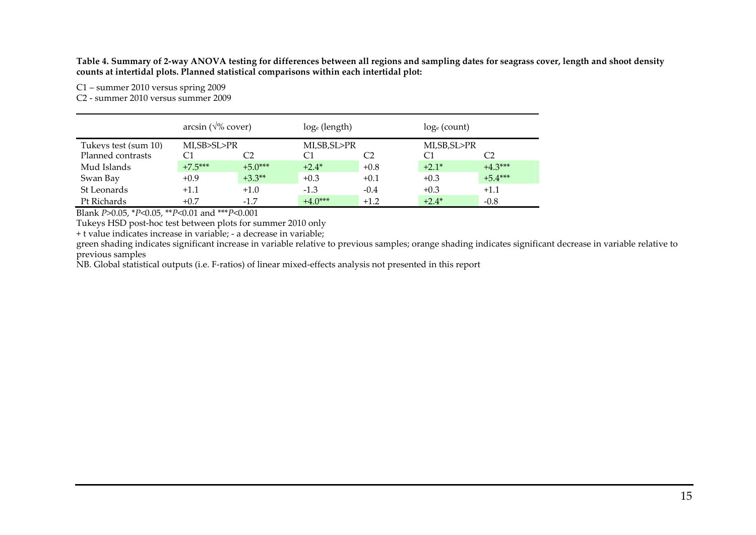Table 4. Summary of 2-way ANOVA testing for differences between all regions and sampling dates for seagrass cover, length and shoot density counts at intertidal plots. Planned statistical comparisons within each intertidal plot:

C1 – summer 2010 versus spring 2009

C2 - summer 2010 versus summer 2009

|                      | arcsin ( $\sqrt{\%}$ cover) |           | $log_e$ (length) |        | $log_e$ (count) |                |
|----------------------|-----------------------------|-----------|------------------|--------|-----------------|----------------|
| Tukeys test (sum 10) | MLSB>SL>PR                  |           | MI,SB,SL>PR      |        | MI,SB,SL>PR     |                |
| Planned contrasts    | C1                          | C2        |                  |        |                 | C <sub>2</sub> |
| Mud Islands          | $+7.5***$                   | $+5.0***$ | $+2.4*$          | $+0.8$ | $+2.1*$         | $+4.3***$      |
| Swan Bay             | $+0.9$                      | $+3.3**$  | $+0.3$           | $+0.1$ | $+0.3$          | $+5.4***$      |
| St Leonards          | $+1.1$                      | $+1.0$    | $-1.3$           | $-0.4$ | $+0.3$          | $+1.1$         |
| Pt Richards          | $+0.7$                      | $-1.7$    | $+4.0***$        | $+1.2$ | $+2.4*$         | $-0.8$         |

Blank P>0.05, \*P<0.05, \*\*P<0.01 and \*\*\*P<0.001

Tukeys HSD post-hoc test between plots for summer 2010 only

+ t value indicates increase in variable; - a decrease in variable;

 green shading indicates significant increase in variable relative to previous samples; orange shading indicates significant decrease in variable relative toprevious samples

NB. Global statistical outputs (i.e. F-ratios) of linear mixed-effects analysis not presented in this report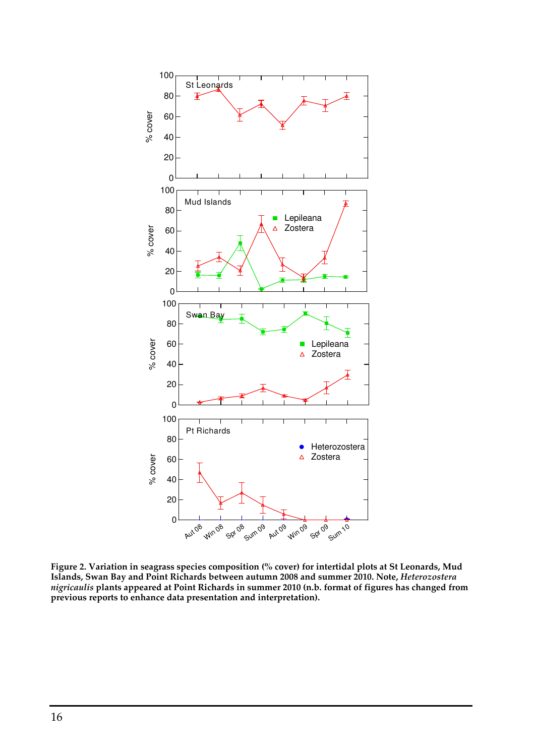

Figure 2. Variation in seagrass species composition (% cover) for intertidal plots at St Leonards, Mud Islands, Swan Bay and Point Richards between autumn 2008 and summer 2010. Note, Heterozostera nigricaulis plants appeared at Point Richards in summer 2010 (n.b. format of figures has changed from previous reports to enhance data presentation and interpretation).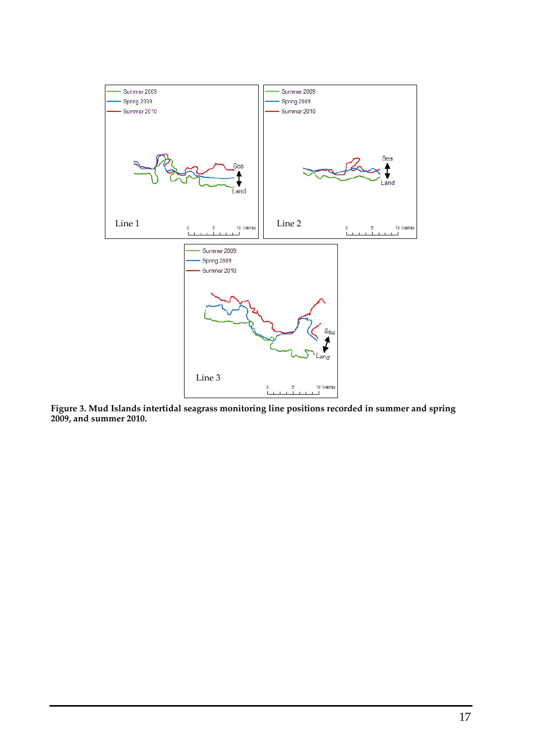

Figure 3. Mud Islands intertidal seagrass monitoring line positions recorded in summer and spring 2009, and summer 2010.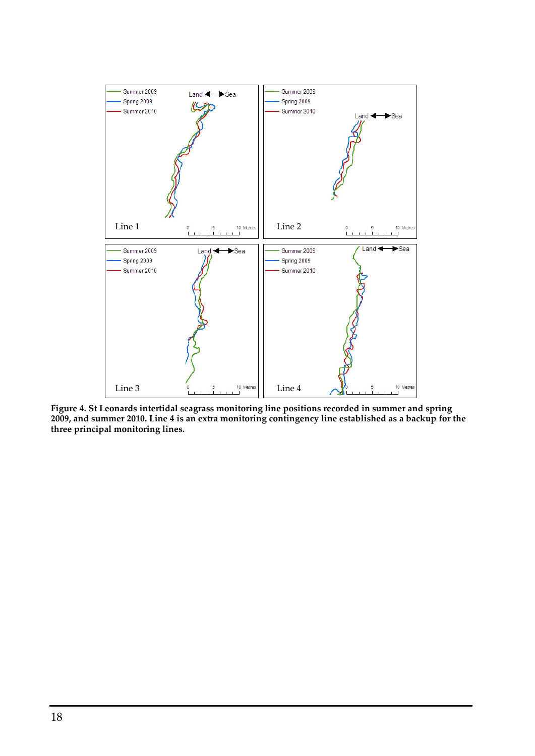

Figure 4. St Leonards intertidal seagrass monitoring line positions recorded in summer and spring 2009, and summer 2010. Line 4 is an extra monitoring contingency line established as a backup for the three principal monitoring lines.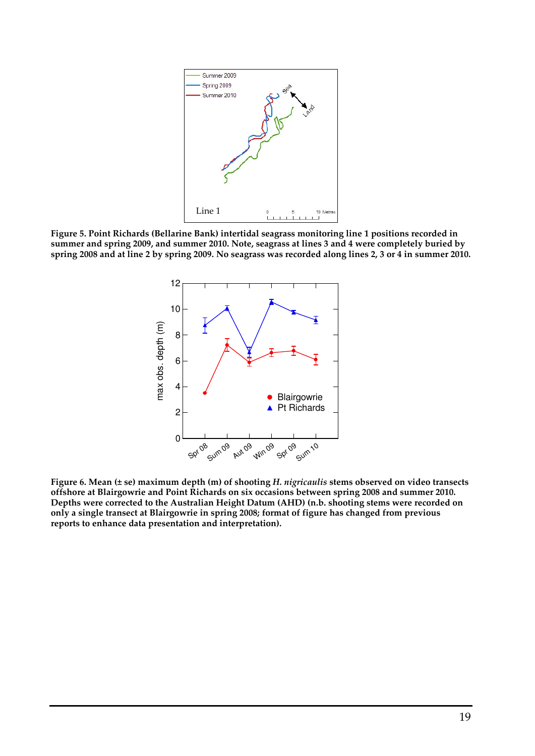

Figure 5. Point Richards (Bellarine Bank) intertidal seagrass monitoring line 1 positions recorded in summer and spring 2009, and summer 2010. Note, seagrass at lines 3 and 4 were completely buried by spring 2008 and at line 2 by spring 2009. No seagrass was recorded along lines 2, 3 or 4 in summer 2010.



Figure 6. Mean (± se) maximum depth (m) of shooting H. nigricaulis stems observed on video transects offshore at Blairgowrie and Point Richards on six occasions between spring 2008 and summer 2010. Depths were corrected to the Australian Height Datum (AHD) (n.b. shooting stems were recorded on only a single transect at Blairgowrie in spring 2008; format of figure has changed from previous reports to enhance data presentation and interpretation).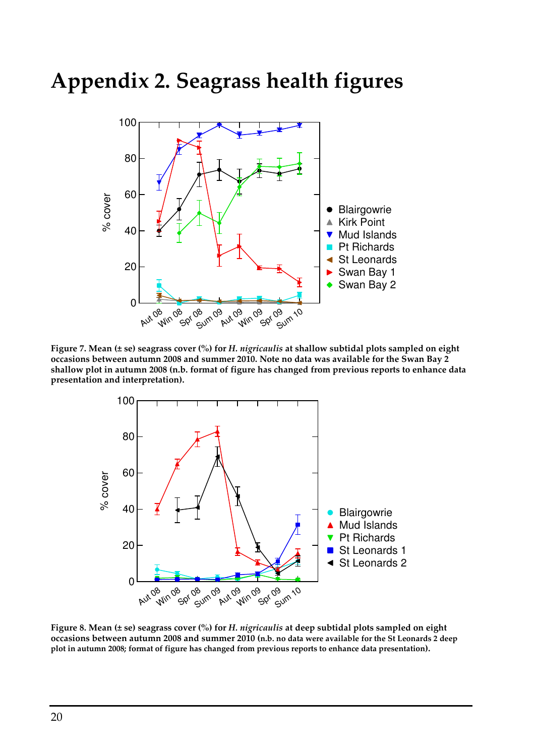## Appendix 2. Seagrass health figures



Figure 7. Mean (± se) seagrass cover (%) for H. nigricaulis at shallow subtidal plots sampled on eight occasions between autumn 2008 and summer 2010. Note no data was available for the Swan Bay 2 shallow plot in autumn 2008 (n.b. format of figure has changed from previous reports to enhance data presentation and interpretation).



Figure 8. Mean (± se) seagrass cover (%) for H. nigricaulis at deep subtidal plots sampled on eight occasions between autumn 2008 and summer 2010 (n.b. no data were available for the St Leonards 2 deep plot in autumn 2008; format of figure has changed from previous reports to enhance data presentation).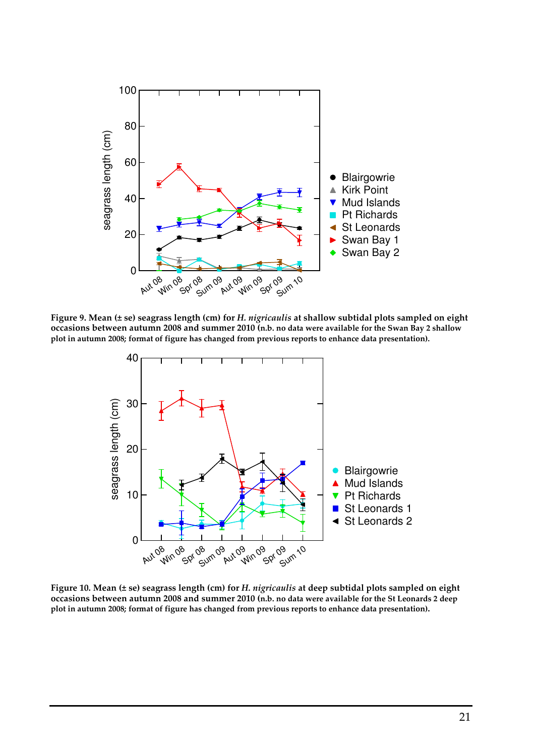

Figure 9. Mean (± se) seagrass length (cm) for H. nigricaulis at shallow subtidal plots sampled on eight occasions between autumn 2008 and summer 2010 (n.b. no data were available for the Swan Bay 2 shallow plot in autumn 2008; format of figure has changed from previous reports to enhance data presentation).



Figure 10. Mean (± se) seagrass length (cm) for H. nigricaulis at deep subtidal plots sampled on eight occasions between autumn 2008 and summer 2010 (n.b. no data were available for the St Leonards 2 deep plot in autumn 2008; format of figure has changed from previous reports to enhance data presentation).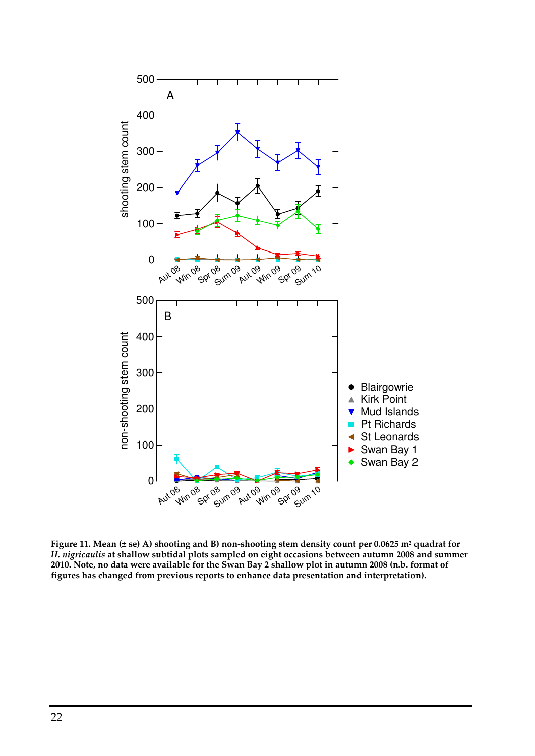

Figure 11. Mean (± se) A) shooting and B) non-shooting stem density count per 0.0625 m² quadrat for H. nigricaulis at shallow subtidal plots sampled on eight occasions between autumn 2008 and summer 2010. Note, no data were available for the Swan Bay 2 shallow plot in autumn 2008 (n.b. format of figures has changed from previous reports to enhance data presentation and interpretation).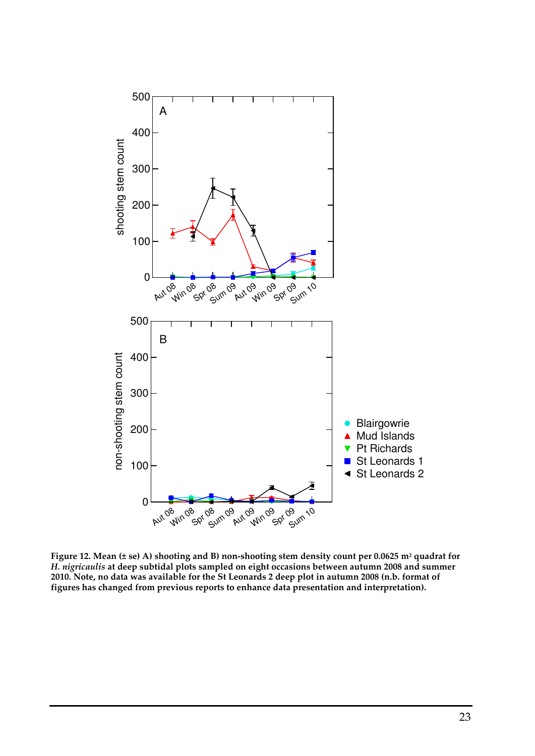

Figure 12. Mean (± se) A) shooting and B) non-shooting stem density count per 0.0625 m² quadrat for H. nigricaulis at deep subtidal plots sampled on eight occasions between autumn 2008 and summer 2010. Note, no data was available for the St Leonards 2 deep plot in autumn 2008 (n.b. format of figures has changed from previous reports to enhance data presentation and interpretation).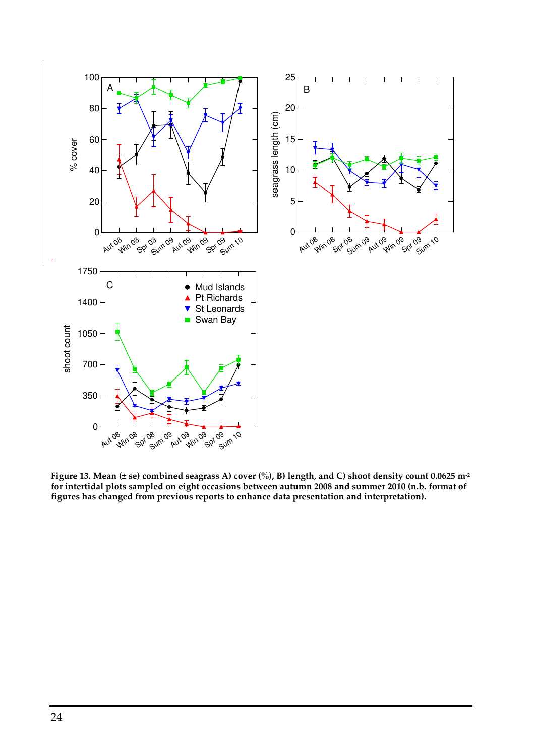

Figure 13. Mean (± se) combined seagrass A) cover (%), B) length, and C) shoot density count 0.0625 m<sup>-2</sup> for intertidal plots sampled on eight occasions between autumn 2008 and summer 2010 (n.b. format of figures has changed from previous reports to enhance data presentation and interpretation).